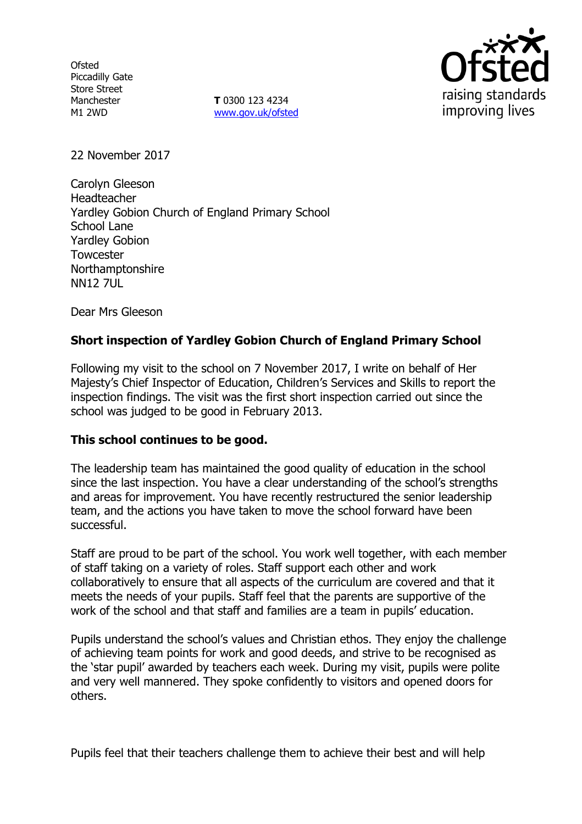**Ofsted** Piccadilly Gate Store Street Manchester M1 2WD

**T** 0300 123 4234 www.gov.uk/ofsted



22 November 2017

Carolyn Gleeson Headteacher Yardley Gobion Church of England Primary School School Lane Yardley Gobion **Towcester** Northamptonshire NN12 7UL

Dear Mrs Gleeson

# **Short inspection of Yardley Gobion Church of England Primary School**

Following my visit to the school on 7 November 2017, I write on behalf of Her Majesty's Chief Inspector of Education, Children's Services and Skills to report the inspection findings. The visit was the first short inspection carried out since the school was judged to be good in February 2013.

## **This school continues to be good.**

The leadership team has maintained the good quality of education in the school since the last inspection. You have a clear understanding of the school's strengths and areas for improvement. You have recently restructured the senior leadership team, and the actions you have taken to move the school forward have been successful.

Staff are proud to be part of the school. You work well together, with each member of staff taking on a variety of roles. Staff support each other and work collaboratively to ensure that all aspects of the curriculum are covered and that it meets the needs of your pupils. Staff feel that the parents are supportive of the work of the school and that staff and families are a team in pupils' education.

Pupils understand the school's values and Christian ethos. They enjoy the challenge of achieving team points for work and good deeds, and strive to be recognised as the 'star pupil' awarded by teachers each week. During my visit, pupils were polite and very well mannered. They spoke confidently to visitors and opened doors for others.

Pupils feel that their teachers challenge them to achieve their best and will help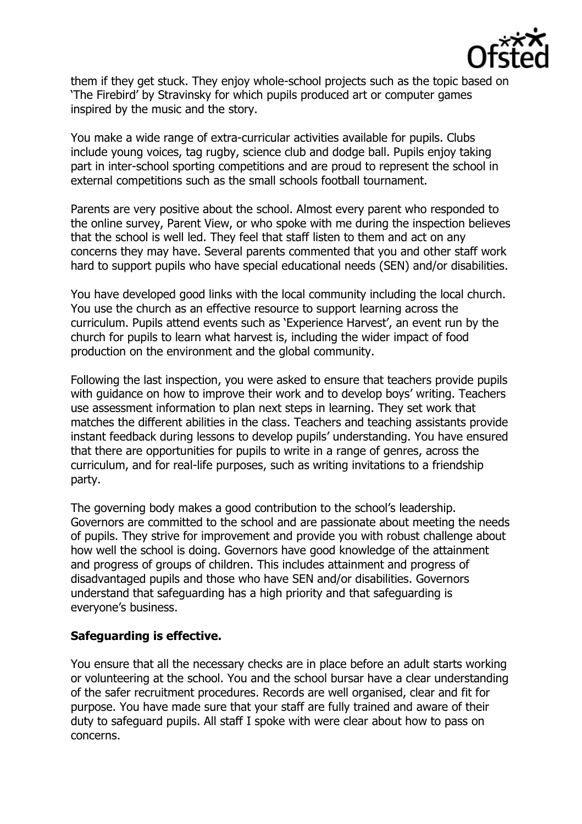

them if they get stuck. They enjoy whole-school projects such as the topic based on 'The Firebird' by Stravinsky for which pupils produced art or computer games inspired by the music and the story.

You make a wide range of extra-curricular activities available for pupils. Clubs include young voices, tag rugby, science club and dodge ball. Pupils enjoy taking part in inter-school sporting competitions and are proud to represent the school in external competitions such as the small schools football tournament.

Parents are very positive about the school. Almost every parent who responded to the online survey, Parent View, or who spoke with me during the inspection believes that the school is well led. They feel that staff listen to them and act on any concerns they may have. Several parents commented that you and other staff work hard to support pupils who have special educational needs (SEN) and/or disabilities.

You have developed good links with the local community including the local church. You use the church as an effective resource to support learning across the curriculum. Pupils attend events such as 'Experience Harvest', an event run by the church for pupils to learn what harvest is, including the wider impact of food production on the environment and the global community.

Following the last inspection, you were asked to ensure that teachers provide pupils with guidance on how to improve their work and to develop boys' writing. Teachers use assessment information to plan next steps in learning. They set work that matches the different abilities in the class. Teachers and teaching assistants provide instant feedback during lessons to develop pupils' understanding. You have ensured that there are opportunities for pupils to write in a range of genres, across the curriculum, and for real-life purposes, such as writing invitations to a friendship party.

The governing body makes a good contribution to the school's leadership. Governors are committed to the school and are passionate about meeting the needs of pupils. They strive for improvement and provide you with robust challenge about how well the school is doing. Governors have good knowledge of the attainment and progress of groups of children. This includes attainment and progress of disadvantaged pupils and those who have SEN and/or disabilities. Governors understand that safeguarding has a high priority and that safeguarding is everyone's business.

## **Safeguarding is effective.**

You ensure that all the necessary checks are in place before an adult starts working or volunteering at the school. You and the school bursar have a clear understanding of the safer recruitment procedures. Records are well organised, clear and fit for purpose. You have made sure that your staff are fully trained and aware of their duty to safeguard pupils. All staff I spoke with were clear about how to pass on concerns.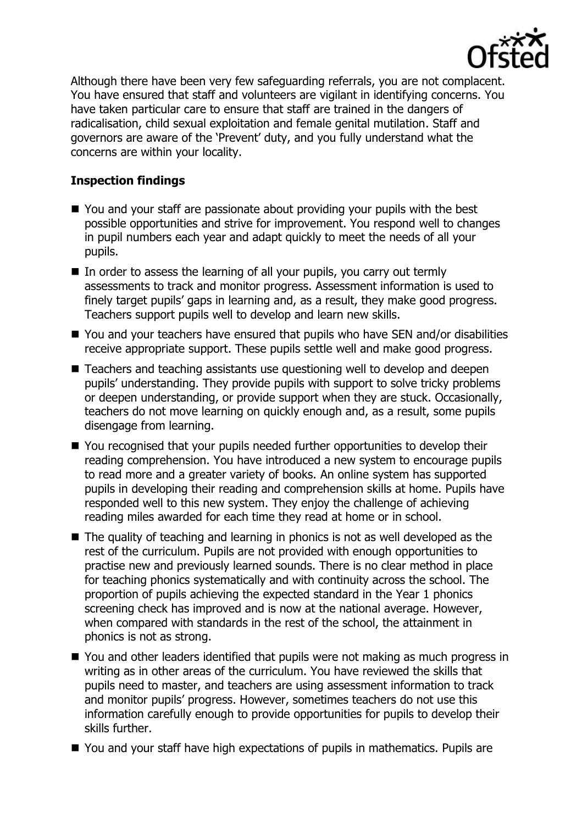

Although there have been very few safeguarding referrals, you are not complacent. You have ensured that staff and volunteers are vigilant in identifying concerns. You have taken particular care to ensure that staff are trained in the dangers of radicalisation, child sexual exploitation and female genital mutilation. Staff and governors are aware of the 'Prevent' duty, and you fully understand what the concerns are within your locality.

# **Inspection findings**

- You and your staff are passionate about providing your pupils with the best possible opportunities and strive for improvement. You respond well to changes in pupil numbers each year and adapt quickly to meet the needs of all your pupils.
- $\blacksquare$  In order to assess the learning of all your pupils, you carry out termly assessments to track and monitor progress. Assessment information is used to finely target pupils' gaps in learning and, as a result, they make good progress. Teachers support pupils well to develop and learn new skills.
- You and your teachers have ensured that pupils who have SEN and/or disabilities receive appropriate support. These pupils settle well and make good progress.
- Teachers and teaching assistants use questioning well to develop and deepen pupils' understanding. They provide pupils with support to solve tricky problems or deepen understanding, or provide support when they are stuck. Occasionally, teachers do not move learning on quickly enough and, as a result, some pupils disengage from learning.
- You recognised that your pupils needed further opportunities to develop their reading comprehension. You have introduced a new system to encourage pupils to read more and a greater variety of books. An online system has supported pupils in developing their reading and comprehension skills at home. Pupils have responded well to this new system. They enjoy the challenge of achieving reading miles awarded for each time they read at home or in school.
- $\blacksquare$  The quality of teaching and learning in phonics is not as well developed as the rest of the curriculum. Pupils are not provided with enough opportunities to practise new and previously learned sounds. There is no clear method in place for teaching phonics systematically and with continuity across the school. The proportion of pupils achieving the expected standard in the Year 1 phonics screening check has improved and is now at the national average. However, when compared with standards in the rest of the school, the attainment in phonics is not as strong.
- You and other leaders identified that pupils were not making as much progress in writing as in other areas of the curriculum. You have reviewed the skills that pupils need to master, and teachers are using assessment information to track and monitor pupils' progress. However, sometimes teachers do not use this information carefully enough to provide opportunities for pupils to develop their skills further.
- You and your staff have high expectations of pupils in mathematics. Pupils are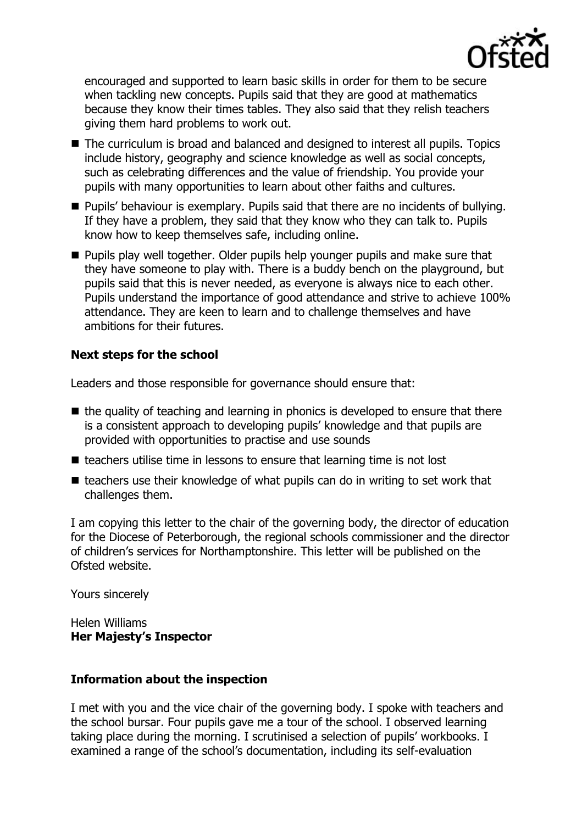

encouraged and supported to learn basic skills in order for them to be secure when tackling new concepts. Pupils said that they are good at mathematics because they know their times tables. They also said that they relish teachers giving them hard problems to work out.

- The curriculum is broad and balanced and designed to interest all pupils. Topics include history, geography and science knowledge as well as social concepts, such as celebrating differences and the value of friendship. You provide your pupils with many opportunities to learn about other faiths and cultures.
- Pupils' behaviour is exemplary. Pupils said that there are no incidents of bullying. If they have a problem, they said that they know who they can talk to. Pupils know how to keep themselves safe, including online.
- **Pupils play well together. Older pupils help younger pupils and make sure that** they have someone to play with. There is a buddy bench on the playground, but pupils said that this is never needed, as everyone is always nice to each other. Pupils understand the importance of good attendance and strive to achieve 100% attendance. They are keen to learn and to challenge themselves and have ambitions for their futures.

# **Next steps for the school**

Leaders and those responsible for governance should ensure that:

- $\blacksquare$  the quality of teaching and learning in phonics is developed to ensure that there is a consistent approach to developing pupils' knowledge and that pupils are provided with opportunities to practise and use sounds
- $\blacksquare$  teachers utilise time in lessons to ensure that learning time is not lost
- $\blacksquare$  teachers use their knowledge of what pupils can do in writing to set work that challenges them.

I am copying this letter to the chair of the governing body, the director of education for the Diocese of Peterborough, the regional schools commissioner and the director of children's services for Northamptonshire. This letter will be published on the Ofsted website.

Yours sincerely

Helen Williams **Her Majesty's Inspector**

## **Information about the inspection**

I met with you and the vice chair of the governing body. I spoke with teachers and the school bursar. Four pupils gave me a tour of the school. I observed learning taking place during the morning. I scrutinised a selection of pupils' workbooks. I examined a range of the school's documentation, including its self-evaluation